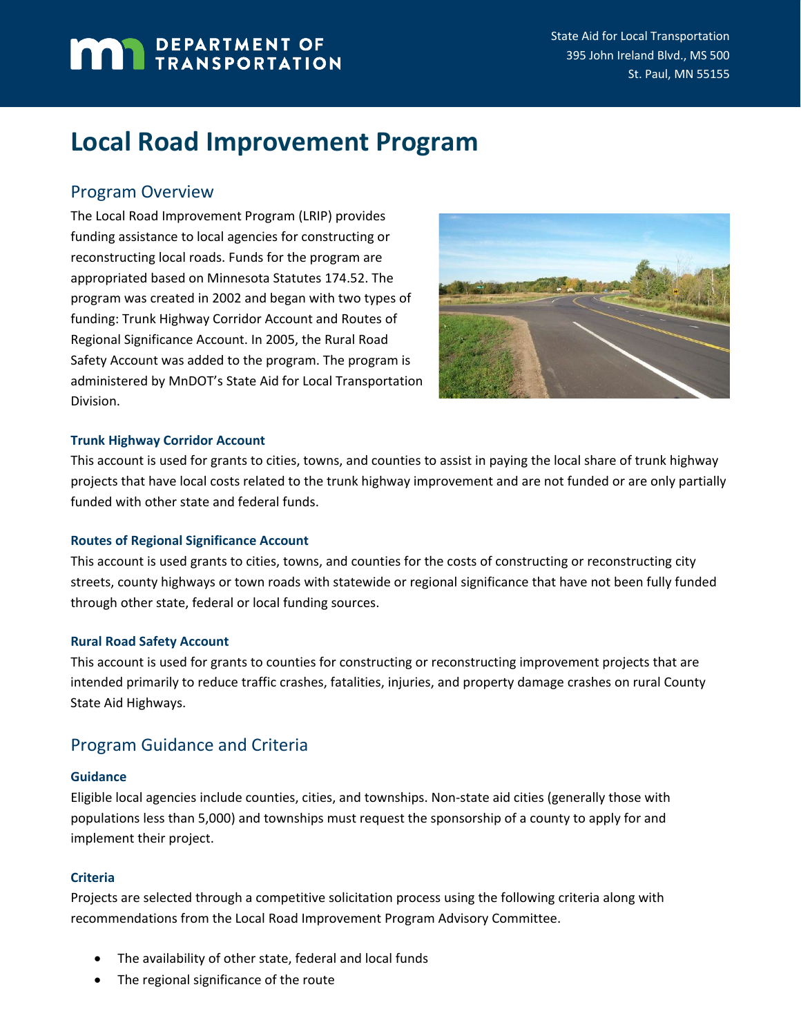# **MAN** DEPARTMENT OF

# **Local Road Improvement Program**

## Program Overview

The Local Road Improvement Program (LRIP) provides funding assistance to local agencies for constructing or reconstructing local roads. Funds for the program are appropriated based on Minnesota Statutes 174.52. The program was created in 2002 and began with two types of funding: Trunk Highway Corridor Account and Routes of Regional Significance Account. In 2005, the Rural Road Safety Account was added to the program. The program is administered by MnDOT's State Aid for Local Transportation Division.



#### **Trunk Highway Corridor Account**

This account is used for grants to cities, towns, and counties to assist in paying the local share of trunk highway projects that have local costs related to the trunk highway improvement and are not funded or are only partially funded with other state and federal funds.

#### **Routes of Regional Significance Account**

This account is used grants to cities, towns, and counties for the costs of constructing or reconstructing city streets, county highways or town roads with statewide or regional significance that have not been fully funded through other state, federal or local funding sources.

#### **Rural Road Safety Account**

This account is used for grants to counties for constructing or reconstructing improvement projects that are intended primarily to reduce traffic crashes, fatalities, injuries, and property damage crashes on rural County State Aid Highways.

## Program Guidance and Criteria

#### **Guidance**

Eligible local agencies include counties, cities, and townships. Non-state aid cities (generally those with populations less than 5,000) and townships must request the sponsorship of a county to apply for and implement their project.

### **Criteria**

Projects are selected through a competitive solicitation process using the following criteria along with recommendations from the Local Road Improvement Program Advisory Committee.

- The availability of other state, federal and local funds
- The regional significance of the route